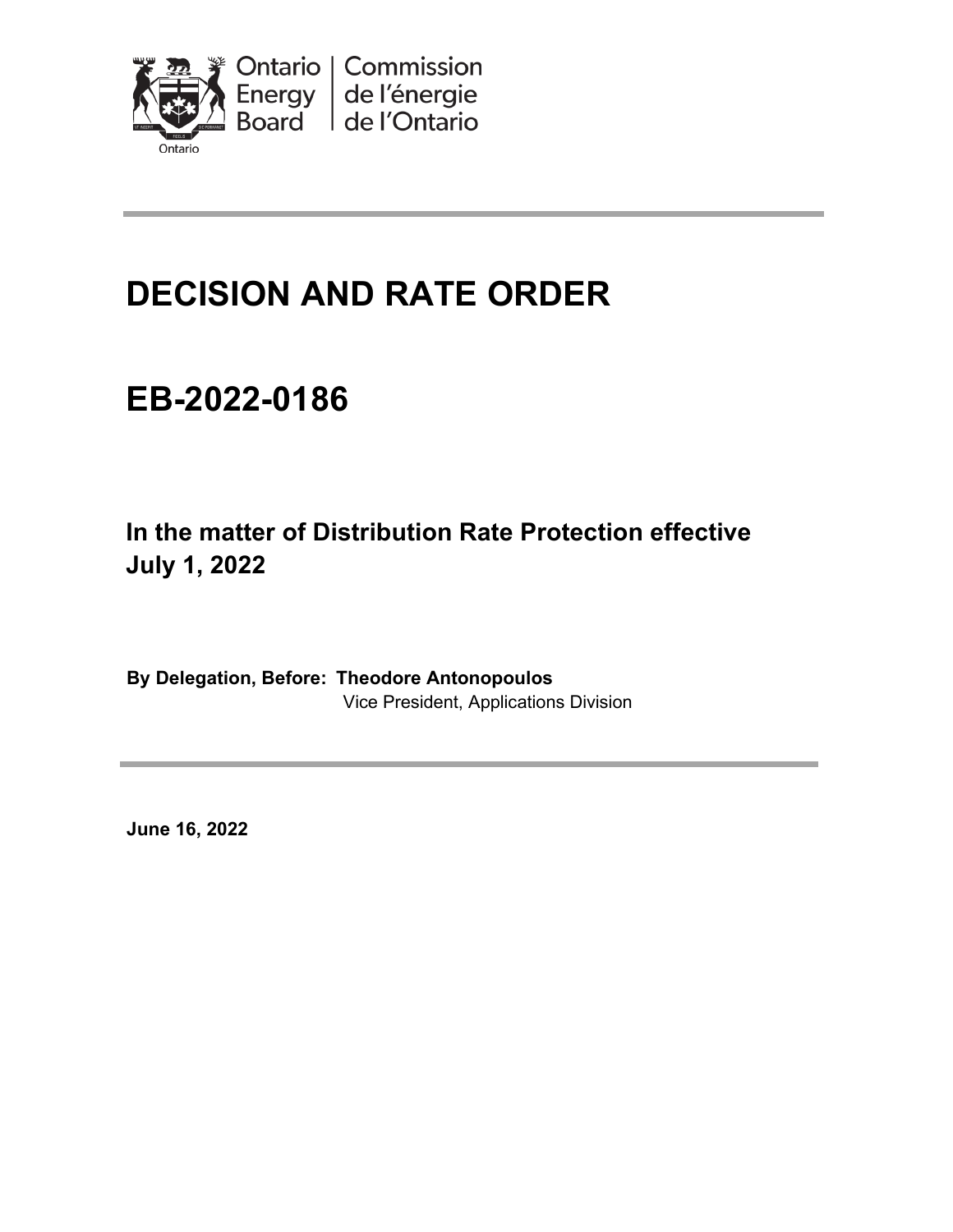

# **DECISION AND RATE ORDER**

# **EB-2022-0186**

**In the matter of Distribution Rate Protection effective July 1, 2022** 

**By Delegation, Before: Theodore Antonopoulos** Vice President, Applications Division

**June 16, 2022**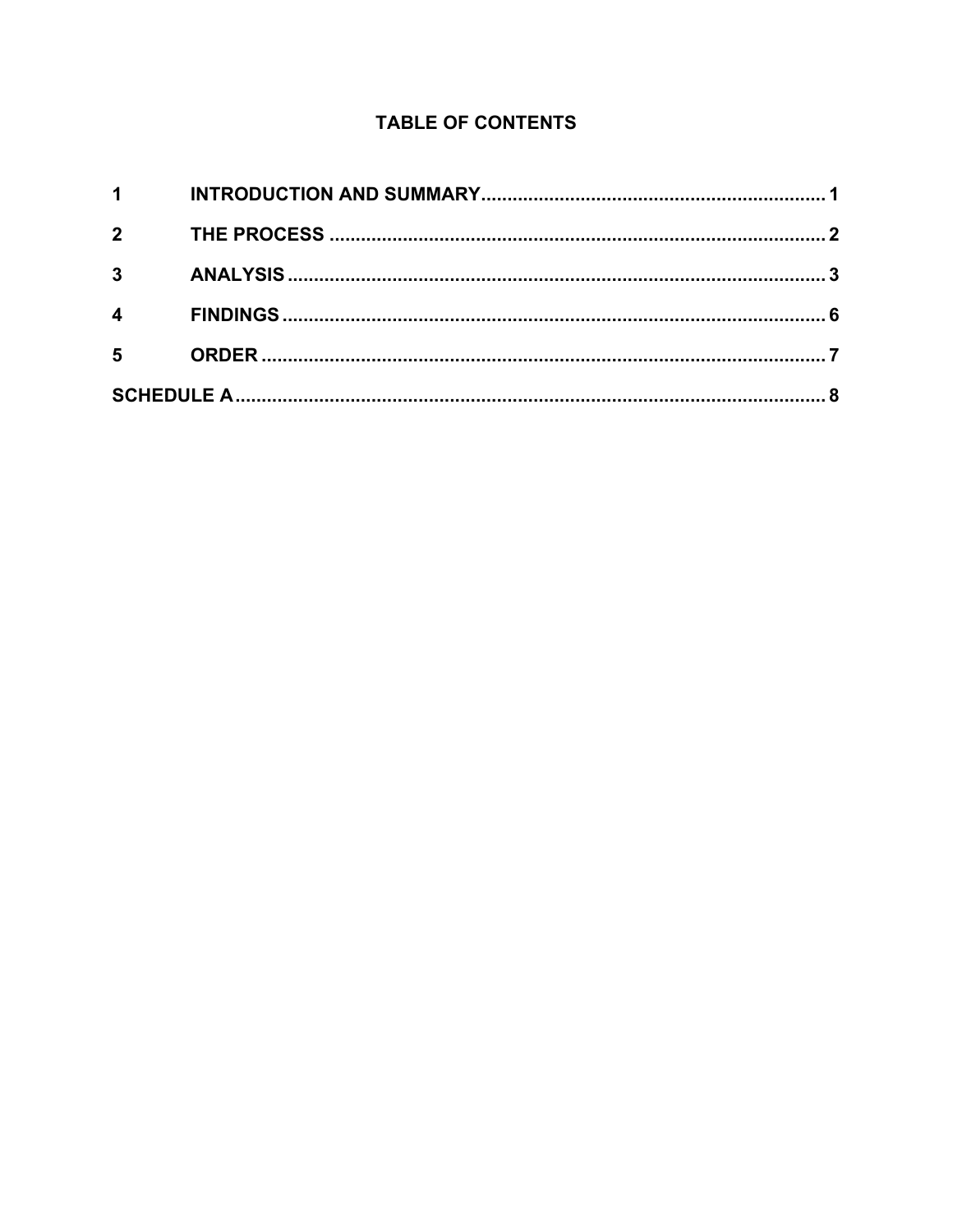#### **TABLE OF CONTENTS**

| $1 \quad \blacksquare$ |  |
|------------------------|--|
| $2^{\circ}$            |  |
| $3^{\circ}$            |  |
| $\overline{4}$         |  |
| $5^{\circ}$            |  |
|                        |  |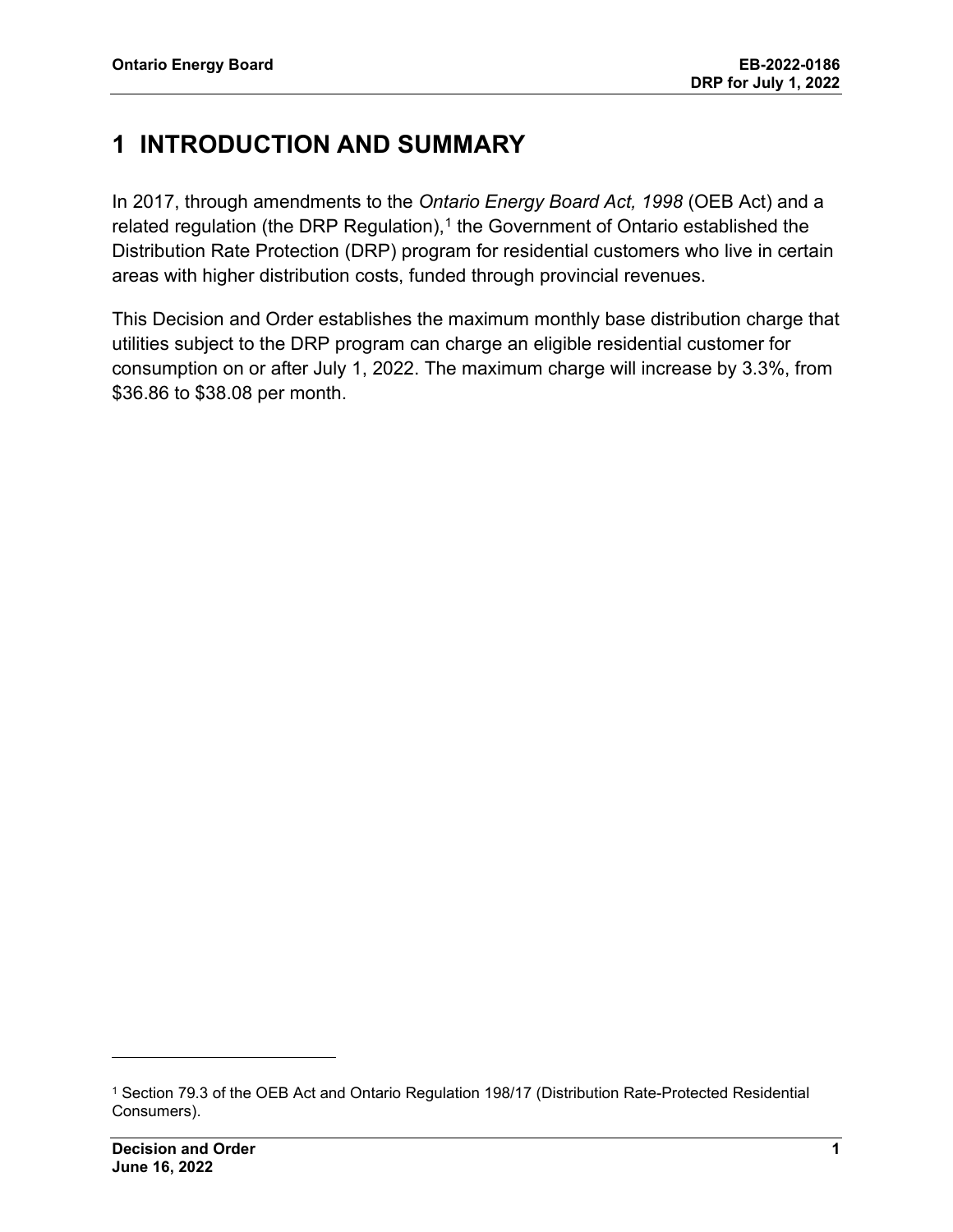### <span id="page-2-0"></span>**1 INTRODUCTION AND SUMMARY**

In 2017, through amendments to the *Ontario Energy Board Act, 1998* (OEB Act) and a related regulation (the DRP Regulation), [1](#page-2-1) the Government of Ontario established the Distribution Rate Protection (DRP) program for residential customers who live in certain areas with higher distribution costs, funded through provincial revenues.

This Decision and Order establishes the maximum monthly base distribution charge that utilities subject to the DRP program can charge an eligible residential customer for consumption on or after July 1, 2022. The maximum charge will increase by 3.3%, from \$36.86 to \$38.08 per month.

<span id="page-2-1"></span><sup>1</sup> Section 79.3 of the OEB Act and Ontario Regulation 198/17 (Distribution Rate-Protected Residential Consumers).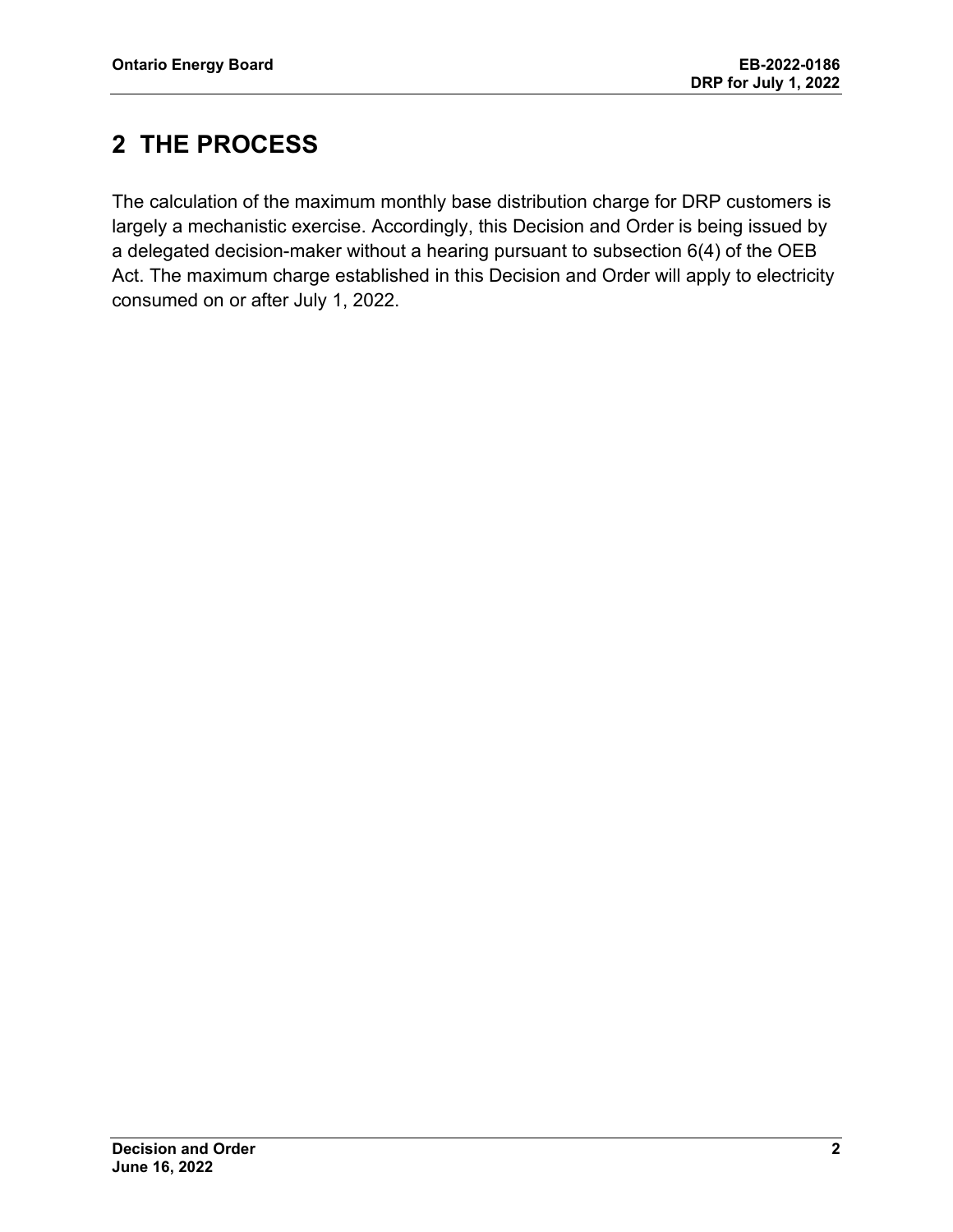## <span id="page-3-0"></span>**2 THE PROCESS**

The calculation of the maximum monthly base distribution charge for DRP customers is largely a mechanistic exercise. Accordingly, this Decision and Order is being issued by a delegated decision-maker without a hearing pursuant to subsection 6(4) of the OEB Act. The maximum charge established in this Decision and Order will apply to electricity consumed on or after July 1, 2022.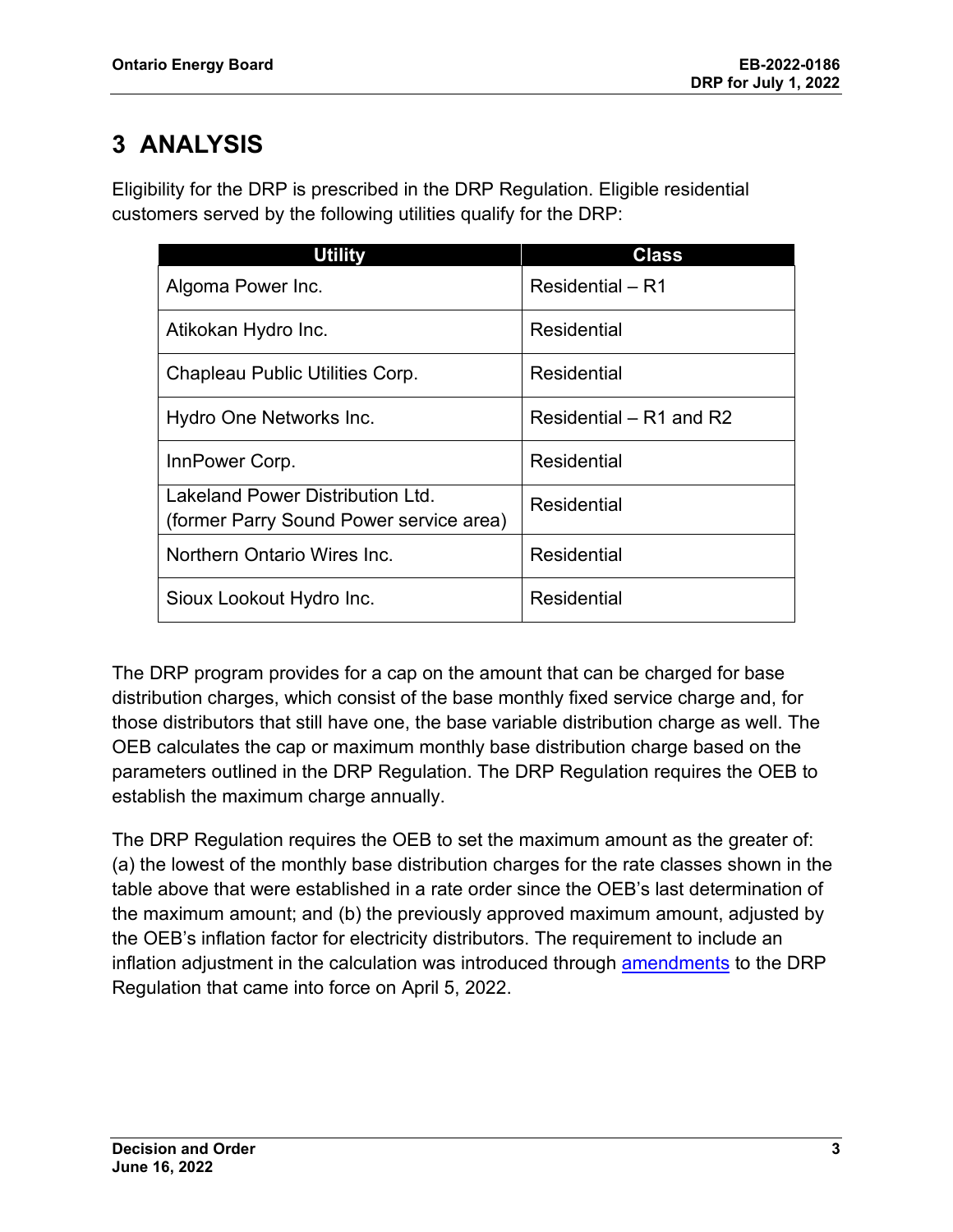# <span id="page-4-0"></span>**3 ANALYSIS**

Eligibility for the DRP is prescribed in the DRP Regulation. Eligible residential customers served by the following utilities qualify for the DRP:

| <b>Utility</b>                                                              | <b>Class</b>              |
|-----------------------------------------------------------------------------|---------------------------|
| Algoma Power Inc.                                                           | Residential – R1          |
| Atikokan Hydro Inc.                                                         | Residential               |
| Chapleau Public Utilities Corp.                                             | <b>Residential</b>        |
| Hydro One Networks Inc.                                                     | Residential $-$ R1 and R2 |
| InnPower Corp.                                                              | Residential               |
| Lakeland Power Distribution Ltd.<br>(former Parry Sound Power service area) | Residential               |
| Northern Ontario Wires Inc.                                                 | <b>Residential</b>        |
| Sioux Lookout Hydro Inc.                                                    | <b>Residential</b>        |

The DRP program provides for a cap on the amount that can be charged for base distribution charges, which consist of the base monthly fixed service charge and, for those distributors that still have one, the base variable distribution charge as well. The OEB calculates the cap or maximum monthly base distribution charge based on the parameters outlined in the DRP Regulation. The DRP Regulation requires the OEB to establish the maximum charge annually.

The DRP Regulation requires the OEB to set the maximum amount as the greater of: (a) the lowest of the monthly base distribution charges for the rate classes shown in the table above that were established in a rate order since the OEB's last determination of the maximum amount; and (b) the previously approved maximum amount, adjusted by the OEB's inflation factor for electricity distributors. The requirement to include an inflation adjustment in the calculation was introduced through [amendments](https://www.ontario.ca/laws/regulation/r22287) to the DRP Regulation that came into force on April 5, 2022.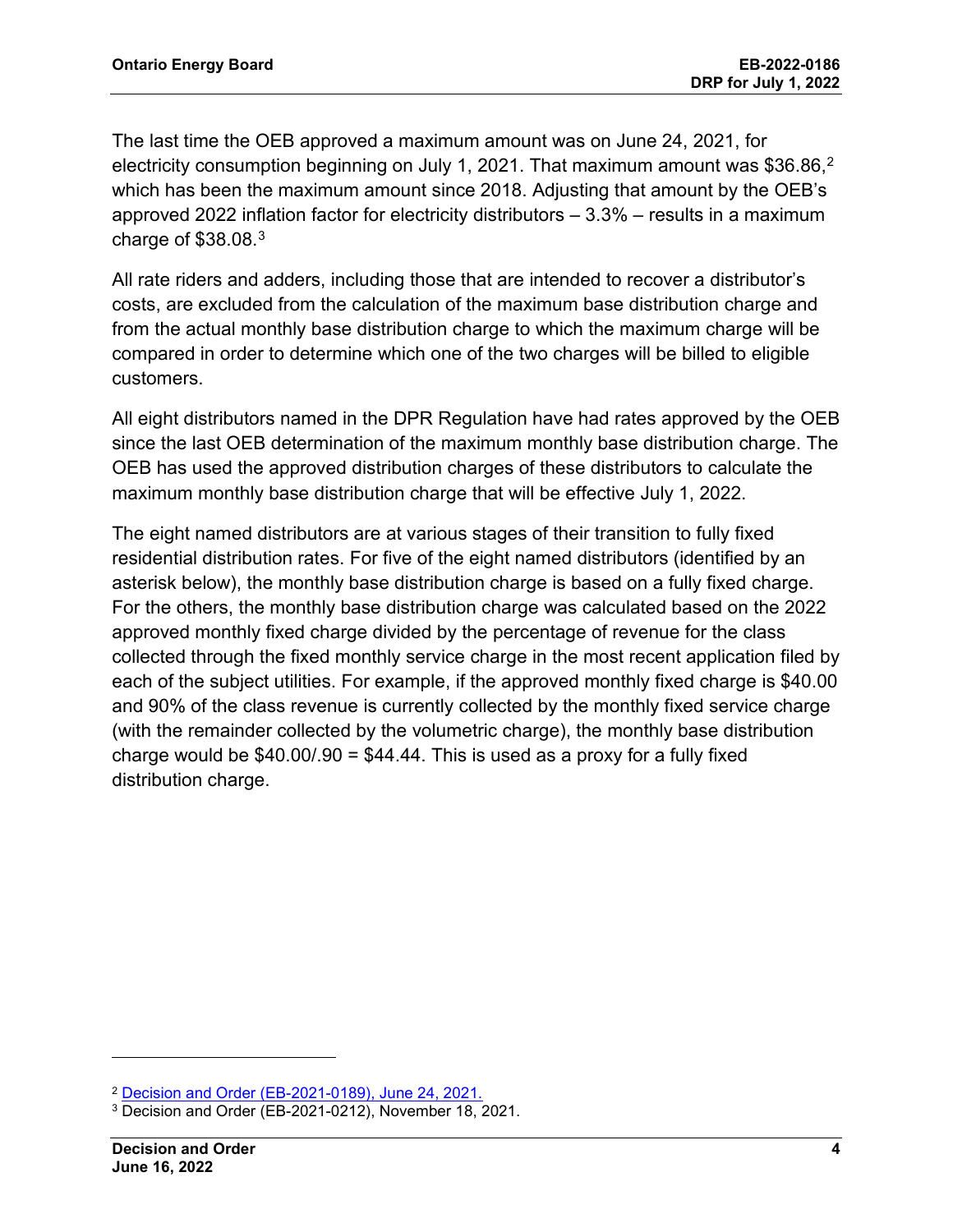The last time the OEB approved a maximum amount was on June 24, 2021, for electricity consumption beginning on July 1, [2](#page-5-0)021. That maximum amount was  $\$36.86,^2$ which has been the maximum amount since 2018. Adjusting that amount by the OEB's approved 2022 inflation factor for electricity distributors – 3.3% – results in a maximum charge of \$38.08.[3](#page-5-1)

All rate riders and adders, including those that are intended to recover a distributor's costs, are excluded from the calculation of the maximum base distribution charge and from the actual monthly base distribution charge to which the maximum charge will be compared in order to determine which one of the two charges will be billed to eligible customers.

All eight distributors named in the DPR Regulation have had rates approved by the OEB since the last OEB determination of the maximum monthly base distribution charge. The OEB has used the approved distribution charges of these distributors to calculate the maximum monthly base distribution charge that will be effective July 1, 2022.

The eight named distributors are at various stages of their transition to fully fixed residential distribution rates. For five of the eight named distributors (identified by an asterisk below), the monthly base distribution charge is based on a fully fixed charge. For the others, the monthly base distribution charge was calculated based on the 2022 approved monthly fixed charge divided by the percentage of revenue for the class collected through the fixed monthly service charge in the most recent application filed by each of the subject utilities. For example, if the approved monthly fixed charge is \$40.00 and 90% of the class revenue is currently collected by the monthly fixed service charge (with the remainder collected by the volumetric charge), the monthly base distribution charge would be  $$40.00/90 = $44.44$ . This is used as a proxy for a fully fixed distribution charge.

<span id="page-5-0"></span><sup>2</sup> Decision and Order (EB-2021-0189), June 24, 2021.

<span id="page-5-1"></span><sup>3</sup> Decision and Order (EB-2021-0212), November 18, 2021.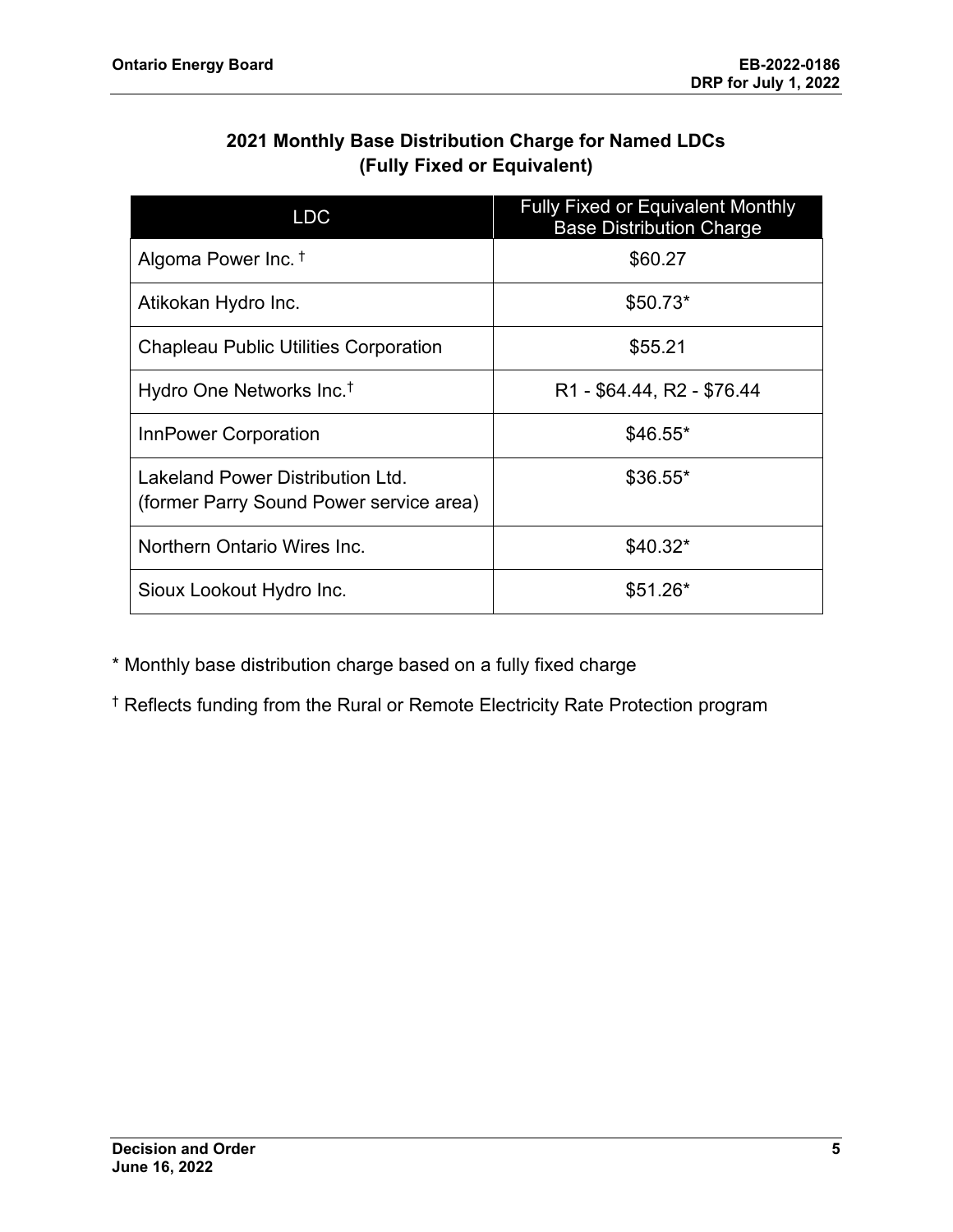#### **2021 Monthly Base Distribution Charge for Named LDCs (Fully Fixed or Equivalent)**

| <b>LDC</b>                                                                 | <b>Fully Fixed or Equivalent Monthly</b><br><b>Base Distribution Charge</b> |
|----------------------------------------------------------------------------|-----------------------------------------------------------------------------|
| Algoma Power Inc. <sup>†</sup>                                             | \$60.27                                                                     |
| Atikokan Hydro Inc.                                                        | $$50.73*$                                                                   |
| <b>Chapleau Public Utilities Corporation</b>                               | \$55.21                                                                     |
| Hydro One Networks Inc. <sup>†</sup>                                       | R <sub>1</sub> - \$64.44, R <sub>2</sub> - \$76.44                          |
| InnPower Corporation                                                       | $$46.55*$                                                                   |
| Lakeland Power Distribution Ltd<br>(former Parry Sound Power service area) | $$36.55*$                                                                   |
| Northern Ontario Wires Inc.                                                | $$40.32*$                                                                   |
| Sioux Lookout Hydro Inc.                                                   | $$51.26*$                                                                   |

\* Monthly base distribution charge based on a fully fixed charge

† Reflects funding from the Rural or Remote Electricity Rate Protection program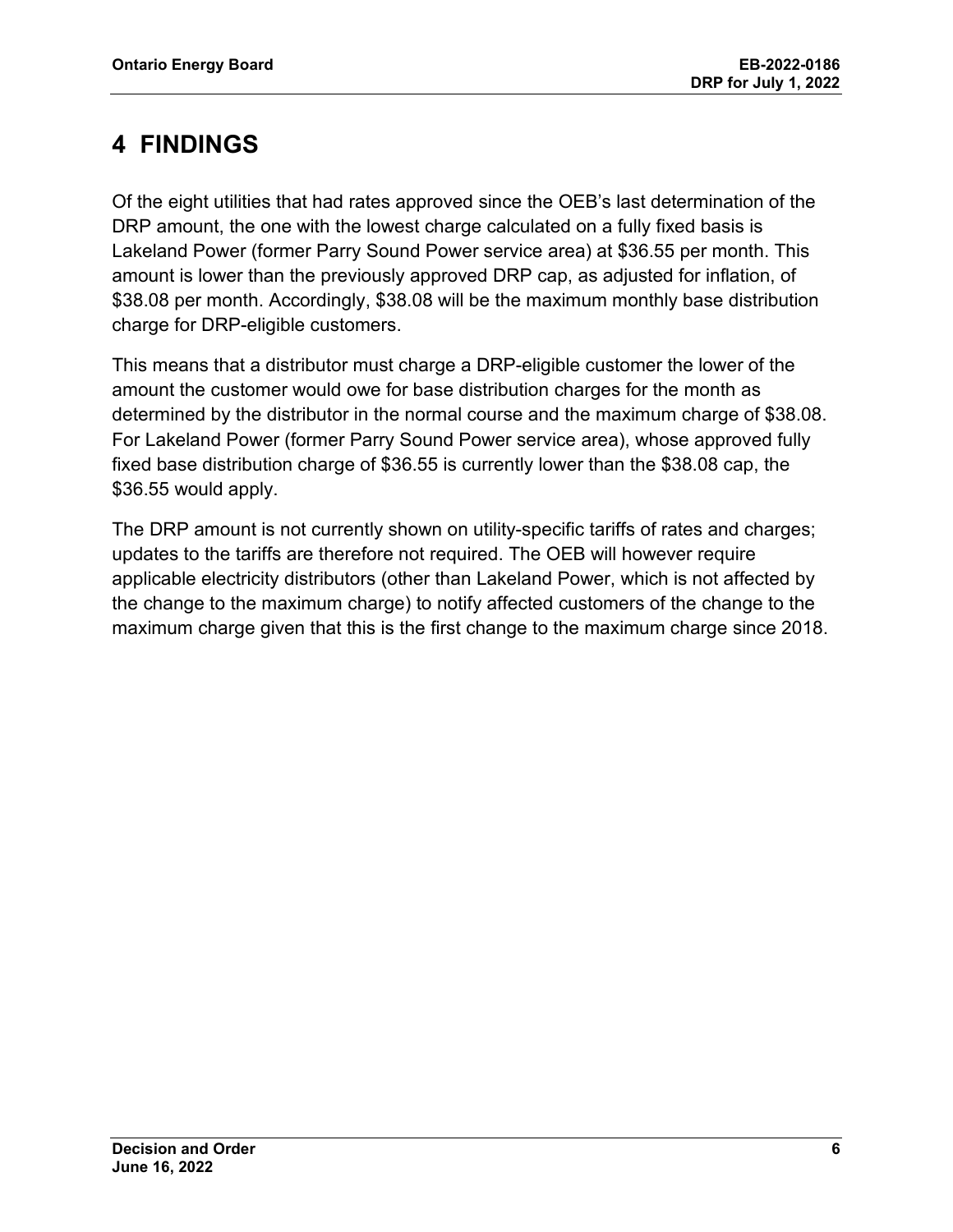### <span id="page-7-0"></span>**4 FINDINGS**

Of the eight utilities that had rates approved since the OEB's last determination of the DRP amount, the one with the lowest charge calculated on a fully fixed basis is Lakeland Power (former Parry Sound Power service area) at \$36.55 per month. This amount is lower than the previously approved DRP cap, as adjusted for inflation, of \$38.08 per month. Accordingly, \$38.08 will be the maximum monthly base distribution charge for DRP-eligible customers.

This means that a distributor must charge a DRP-eligible customer the lower of the amount the customer would owe for base distribution charges for the month as determined by the distributor in the normal course and the maximum charge of \$38.08. For Lakeland Power (former Parry Sound Power service area), whose approved fully fixed base distribution charge of \$36.55 is currently lower than the \$38.08 cap, the \$36.55 would apply.

The DRP amount is not currently shown on utility-specific tariffs of rates and charges; updates to the tariffs are therefore not required. The OEB will however require applicable electricity distributors (other than Lakeland Power, which is not affected by the change to the maximum charge) to notify affected customers of the change to the maximum charge given that this is the first change to the maximum charge since 2018.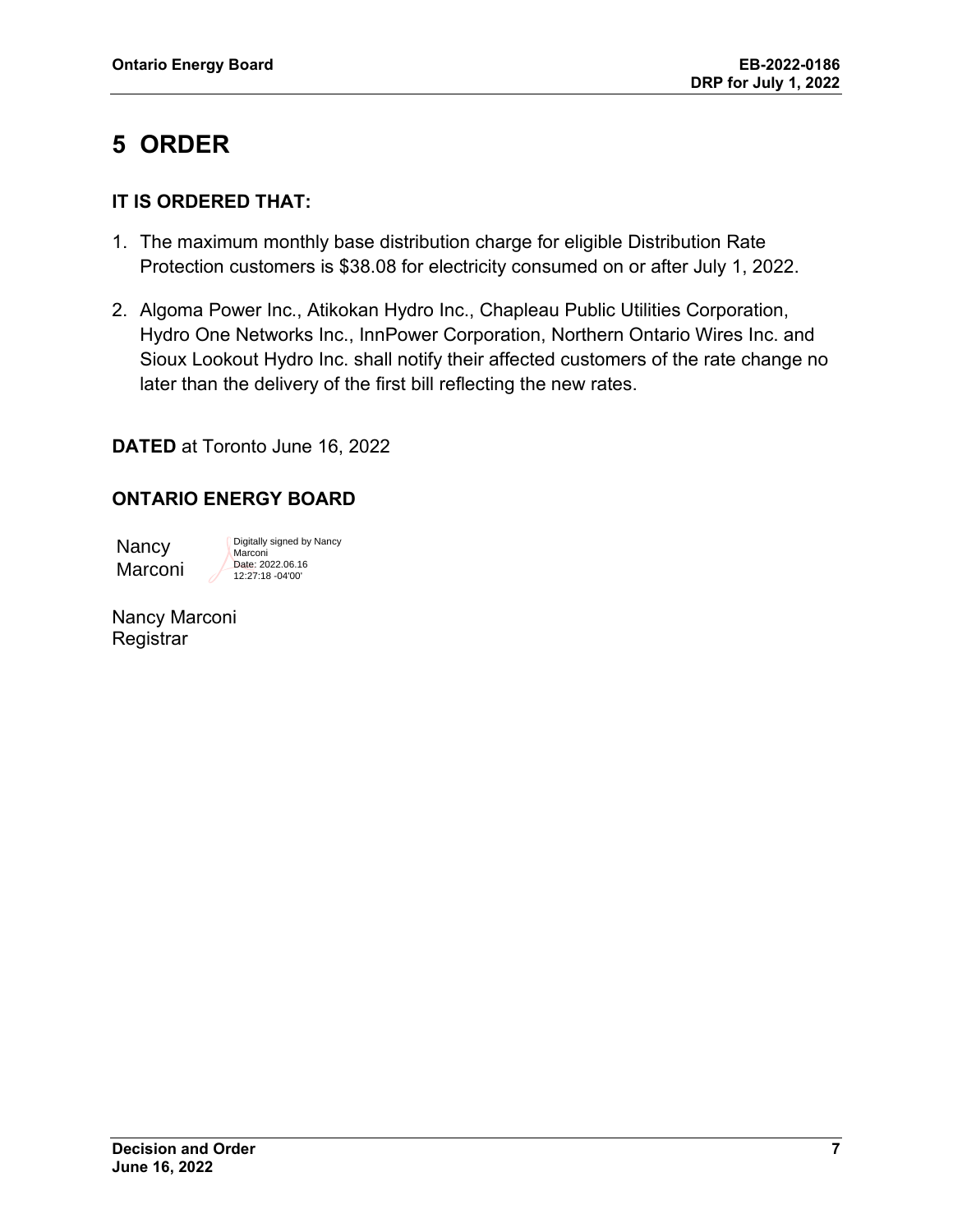## <span id="page-8-0"></span>**5 ORDER**

#### **IT IS ORDERED THAT:**

- 1. The maximum monthly base distribution charge for eligible Distribution Rate Protection customers is \$38.08 for electricity consumed on or after July 1, 2022.
- 2. Algoma Power Inc., Atikokan Hydro Inc., Chapleau Public Utilities Corporation, Hydro One Networks Inc., InnPower Corporation, Northern Ontario Wires Inc. and Sioux Lookout Hydro Inc. shall notify their affected customers of the rate change no later than the delivery of the first bill reflecting the new rates.

#### **DATED** at Toronto June 16, 2022

#### **ONTARIO ENERGY BOARD**

**Nancy** Marconi Digitally signed by Nancy **Marconi** Date: 2022.06.16 12:27:18 -04'00'

|           | Nancy Marconi |
|-----------|---------------|
| Registrar |               |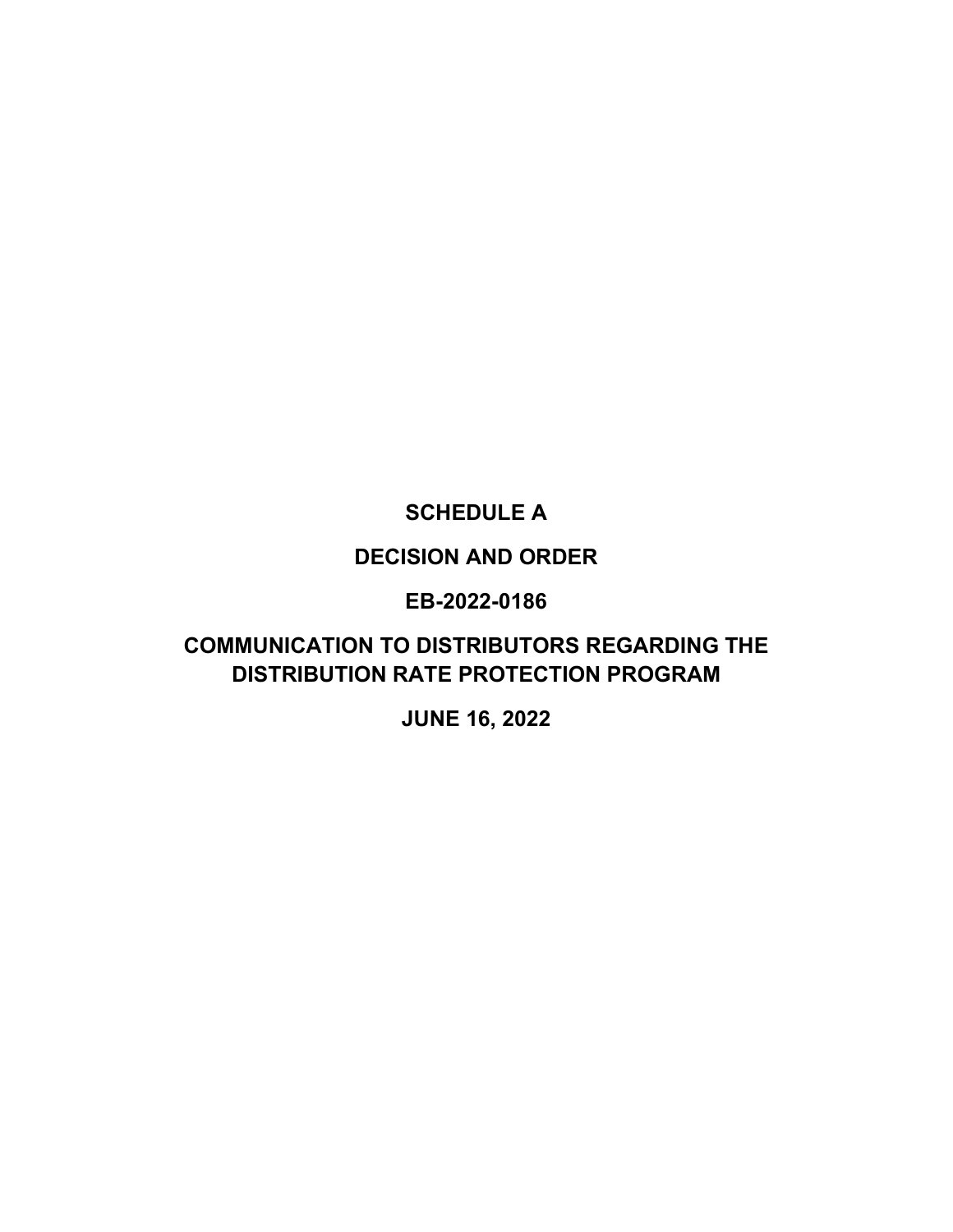### **SCHEDULE A**

#### **DECISION AND ORDER**

#### **EB-2022-0186**

### <span id="page-9-0"></span>**COMMUNICATION TO DISTRIBUTORS REGARDING THE DISTRIBUTION RATE PROTECTION PROGRAM**

**JUNE 16, 2022**